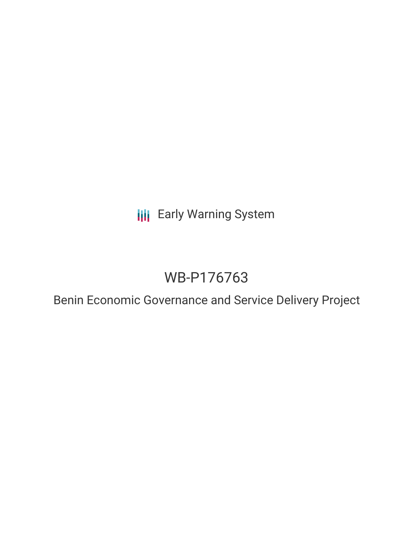**III** Early Warning System

# WB-P176763

Benin Economic Governance and Service Delivery Project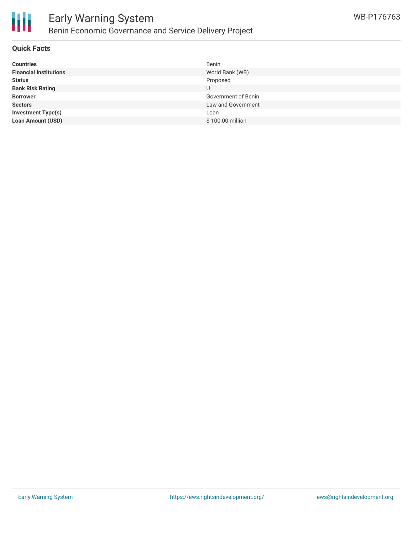

### **Quick Facts**

| <b>Countries</b>              | Benin               |
|-------------------------------|---------------------|
| <b>Financial Institutions</b> | World Bank (WB)     |
| <b>Status</b>                 | Proposed            |
| <b>Bank Risk Rating</b>       | U                   |
| <b>Borrower</b>               | Government of Benin |
| <b>Sectors</b>                | Law and Government  |
| <b>Investment Type(s)</b>     | Loan                |
| <b>Loan Amount (USD)</b>      | \$100.00 million    |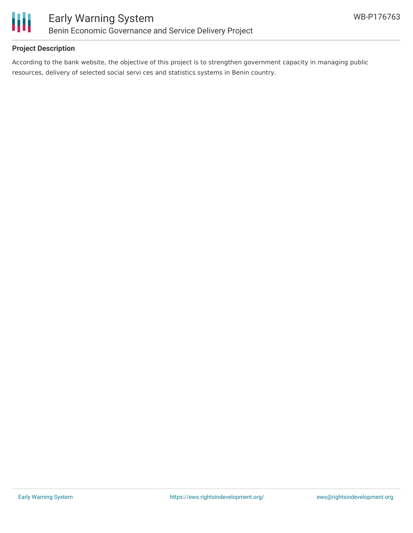

# **Project Description**

According to the bank website, the objective of this project is to strengthen government capacity in managing public resources, delivery of selected social servi ces and statistics systems in Benin country.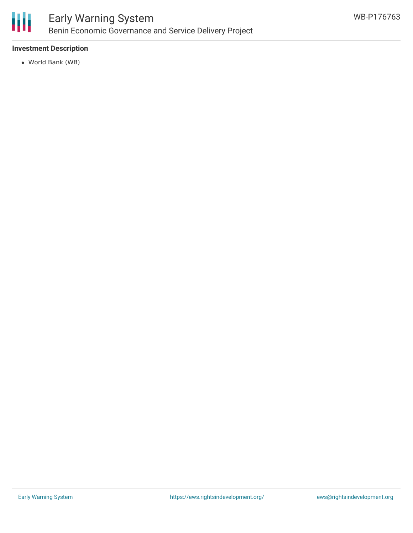

# **Investment Description**

World Bank (WB)